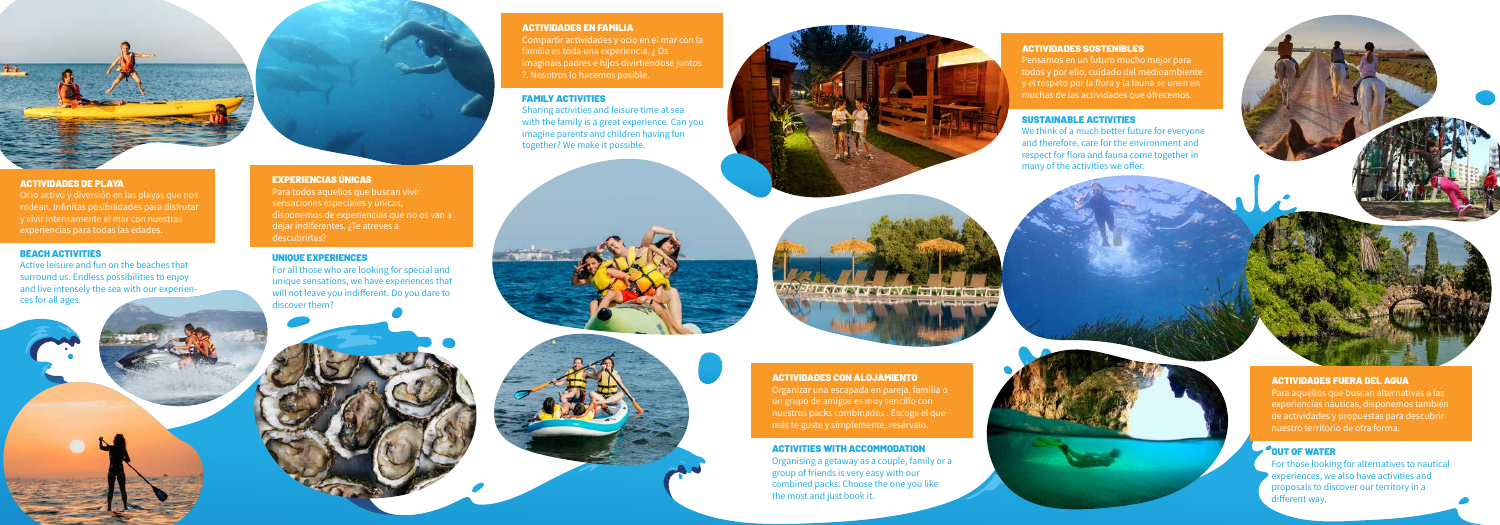#### EXPERIENCIAS ÚNICAS

Para todos aquellos que buscan vivir sensaciones especiales y únicas, disponemos de experiencias que no os van a dejar indiferentes. ¿Te atreves a descubrirlas?

#### UNIQUE EXPERIENCES

For all those who are looking for special and unique sensations, we have experiences that will not leave you indifferent. Do you dare to discover them?

> For those looking for alternatives to nautical experiences, we also have activities and proposals to discover our territory in a different way.

#### ACTIVIDADES SOSTENIBLES

Pensamos en un futuro mucho mejor para todos y por ello, cuidado del medioambiente y el respeto por la flora y la fauna se unen en muchas de las actividades que ofrecemos.

### SUSTAINABLE ACTIVITIES

We think of a much better future for everyone and therefore, care for the environment and respect for flora and fauna come together in many of the activities we offer.



Para aquellos que buscan alternativas a las experiencias náuticas, disponemos también de actividades y propuestas para descubrir nuestro territorio de otra forma.

# OUT OF WATER

#### ACTIVIDADES EN FAMILIA

Compartir actividades y ocio en el mar con la familia es toda una experiencia. ¿ Os imagináis padres e hijos divirtiéndose juntos ?. Nosotros lo hacemos posible.

### FAMILY ACTIVITIES

Sharing activities and leisure time at sea with the family is a great experience. Can you imagine parents and children having fun together? We make it possible.





ACTIVIDADES CON ALOJAMIENTO

Organizar una escapada en pareja, familia o un grupo de amigos es muy sencillo con nuestros packs combinados . Escoge el que más te guste y simplemente, resérvalo.

ACTIVITIES WITH ACCOMMODATION

Organising a getaway as a couple, family or a group of friends is very easy with our combined packs. Choose the one you like the most and just book it.



#### ACTIVIDADES DE PLAYA

Ocio activo y diversión en las playas que nos rodean. Infinitas posibilidades para disfrutar y vivir intensamente el mar con nuestras experiencias para todas las edades.

#### BEACH ACTIVITIES

Active leisure and fun on the beaches that surround us. Endless possibilities to enjoy and live intensely the sea with our experien ces for all ages.